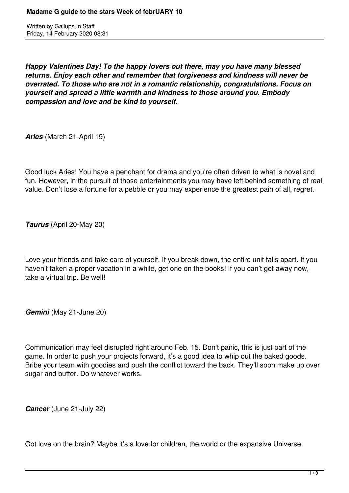Written by Gallupsun Staff Friday, 14 February 2020 08:31

*Happy Valentines Day! To the happy lovers out there, may you have many blessed returns. Enjoy each other and remember that forgiveness and kindness will never be overrated. To those who are not in a romantic relationship, congratulations. Focus on yourself and spread a little warmth and kindness to those around you. Embody compassion and love and be kind to yourself.*

*Aries* (March 21-April 19)

Good luck Aries! You have a penchant for drama and you're often driven to what is novel and fun. However, in the pursuit of those entertainments you may have left behind something of real value. Don't lose a fortune for a pebble or you may experience the greatest pain of all, regret.

*Taurus* (April 20-May 20)

Love your friends and take care of yourself. If you break down, the entire unit falls apart. If you haven't taken a proper vacation in a while, get one on the books! If you can't get away now, take a virtual trip. Be well!

*Gemini* (May 21-June 20)

Communication may feel disrupted right around Feb. 15. Don't panic, this is just part of the game. In order to push your projects forward, it's a good idea to whip out the baked goods. Bribe your team with goodies and push the conflict toward the back. They'll soon make up over sugar and butter. Do whatever works.

*Cancer* (June 21-July 22)

Got love on the brain? Maybe it's a love for children, the world or the expansive Universe.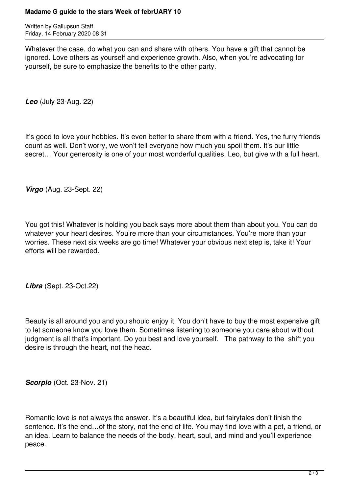Written by Gallupsun Staff Friday, 14 February 2020 08:31

Whatever the case, do what you can and share with others. You have a gift that cannot be ignored. Love others as yourself and experience growth. Also, when you're advocating for yourself, be sure to emphasize the benefits to the other party.

*Leo* (July 23-Aug. 22)

It's good to love your hobbies. It's even better to share them with a friend. Yes, the furry friends count as well. Don't worry, we won't tell everyone how much you spoil them. It's our little secret… Your generosity is one of your most wonderful qualities, Leo, but give with a full heart.

*Virgo* (Aug. 23-Sept. 22)

You got this! Whatever is holding you back says more about them than about you. You can do whatever your heart desires. You're more than your circumstances. You're more than your worries. These next six weeks are go time! Whatever your obvious next step is, take it! Your efforts will be rewarded.

*Libra* (Sept. 23-Oct.22)

Beauty is all around you and you should enjoy it. You don't have to buy the most expensive gift to let someone know you love them. Sometimes listening to someone you care about without judgment is all that's important. Do you best and love yourself. The pathway to the shift you desire is through the heart, not the head.

*Scorpio* (Oct. 23-Nov. 21)

Romantic love is not always the answer. It's a beautiful idea, but fairytales don't finish the sentence. It's the end…of the story, not the end of life. You may find love with a pet, a friend, or an idea. Learn to balance the needs of the body, heart, soul, and mind and you'll experience peace.